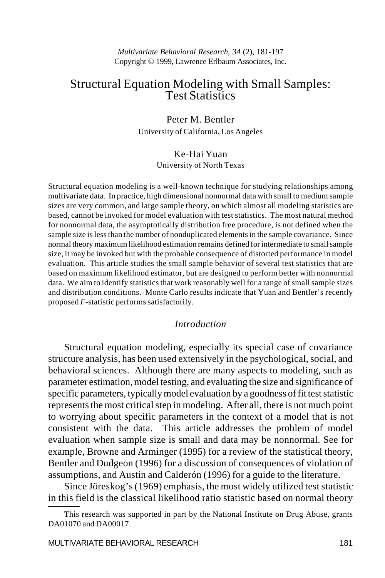# Structural Equation Modeling with Small Samples: Test Statistics

Peter M. Bentler University of California, Los Angeles

# Ke-Hai Yuan

University of North Texas

Structural equation modeling is a well-known technique for studying relationships among multivariate data. In practice, high dimensional nonnormal data with small to medium sample sizes are very common, and large sample theory, on which almost all modeling statistics are based, cannot be invoked for model evaluation with test statistics. The most natural method for nonnormal data, the asymptotically distribution free procedure, is not defined when the sample size is less than the number of nonduplicated elements in the sample covariance. Since normal theory maximum likelihood estimation remains defined for intermediate to small sample size, it may be invoked but with the probable consequence of distorted performance in model evaluation. This article studies the small sample behavior of several test statistics that are based on maximum likelihood estimator, but are designed to perform better with nonnormal data. We aim to identify statistics that work reasonably well for a range of small sample sizes and distribution conditions. Monte Carlo results indicate that Yuan and Bentler's recently proposed *F*-statistic performs satisfactorily.

### *Introduction*

Structural equation modeling, especially its special case of covariance structure analysis, has been used extensively in the psychological, social, and behavioral sciences. Although there are many aspects to modeling, such as parameter estimation, model testing, and evaluating the size and significance of specific parameters, typically model evaluation by a goodness of fit test statistic represents the most critical step in modeling. After all, there is not much point to worrying about specific parameters in the context of a model that is not consistent with the data. This article addresses the problem of model evaluation when sample size is small and data may be nonnormal. See for example, Browne and Arminger (1995) for a review of the statistical theory, Bentler and Dudgeon (1996) for a discussion of consequences of violation of assumptions, and Austin and Calderón (1996) for a guide to the literature.

Since Jöreskog's (1969) emphasis, the most widely utilized test statistic in this field is the classical likelihood ratio statistic based on normal theory

This research was supported in part by the National Institute on Drug Abuse, grants DA01070 and DA00017.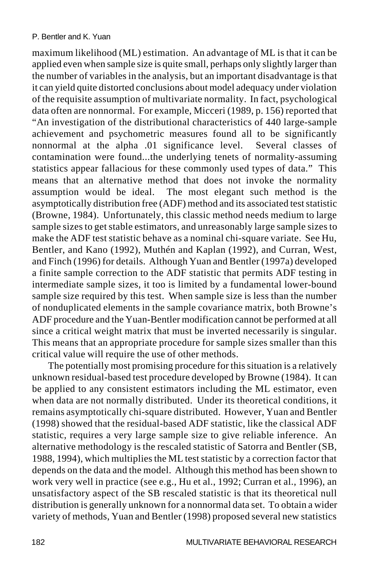maximum likelihood (ML) estimation. An advantage of ML is that it can be applied even when sample size is quite small, perhaps only slightly larger than the number of variables in the analysis, but an important disadvantage is that it can yield quite distorted conclusions about model adequacy under violation of the requisite assumption of multivariate normality. In fact, psychological data often are nonnormal. For example, Micceri (1989, p. 156) reported that "An investigation of the distributional characteristics of 440 large-sample achievement and psychometric measures found all to be significantly nonnormal at the alpha .01 significance level. Several classes of contamination were found...the underlying tenets of normality-assuming statistics appear fallacious for these commonly used types of data." This means that an alternative method that does not invoke the normality assumption would be ideal. The most elegant such method is the asymptotically distribution free (ADF) method and its associated test statistic (Browne, 1984). Unfortunately, this classic method needs medium to large sample sizes to get stable estimators, and unreasonably large sample sizes to make the ADF test statistic behave as a nominal chi-square variate. See Hu, Bentler, and Kano (1992), Muthén and Kaplan (1992), and Curran, West, and Finch (1996) for details. Although Yuan and Bentler (1997a) developed a finite sample correction to the ADF statistic that permits ADF testing in intermediate sample sizes, it too is limited by a fundamental lower-bound sample size required by this test. When sample size is less than the number of nonduplicated elements in the sample covariance matrix, both Browne's ADF procedure and the Yuan-Bentler modification cannot be performed at all since a critical weight matrix that must be inverted necessarily is singular. This means that an appropriate procedure for sample sizes smaller than this critical value will require the use of other methods.

The potentially most promising procedure for this situation is a relatively unknown residual-based test procedure developed by Browne (1984). It can be applied to any consistent estimators including the ML estimator, even when data are not normally distributed. Under its theoretical conditions, it remains asymptotically chi-square distributed. However, Yuan and Bentler (1998) showed that the residual-based ADF statistic, like the classical ADF statistic, requires a very large sample size to give reliable inference. An alternative methodology is the rescaled statistic of Satorra and Bentler (SB, 1988, 1994), which multiplies the ML test statistic by a correction factor that depends on the data and the model. Although this method has been shown to work very well in practice (see e.g., Hu et al., 1992; Curran et al., 1996), an unsatisfactory aspect of the SB rescaled statistic is that its theoretical null distribution is generally unknown for a nonnormal data set. To obtain a wider variety of methods, Yuan and Bentler (1998) proposed several new statistics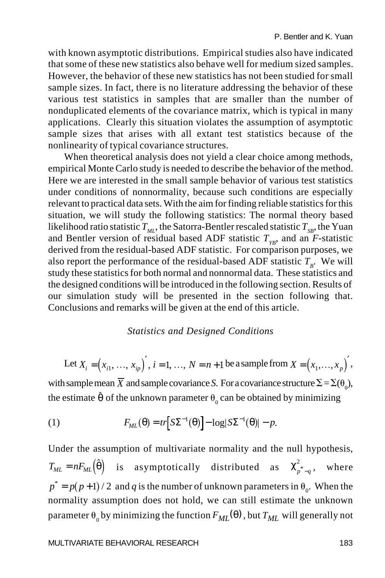with known asymptotic distributions. Empirical studies also have indicated that some of these new statistics also behave well for medium sized samples. However, the behavior of these new statistics has not been studied for small sample sizes. In fact, there is no literature addressing the behavior of these various test statistics in samples that are smaller than the number of nonduplicated elements of the covariance matrix, which is typical in many applications. Clearly this situation violates the assumption of asymptotic sample sizes that arises with all extant test statistics because of the nonlinearity of typical covariance structures.

When theoretical analysis does not yield a clear choice among methods, empirical Monte Carlo study is needed to describe the behavior of the method. Here we are interested in the small sample behavior of various test statistics under conditions of nonnormality, because such conditions are especially relevant to practical data sets. With the aim for finding reliable statistics for this situation, we will study the following statistics: The normal theory based likelihood ratio statistic  $T_M$ , the Satorra-Bentler rescaled statistic  $T_{SR}$ , the Yuan and Bentler version of residual based ADF statistic  $T_{yp}$ , and an *F*-statistic derived from the residual-based ADF statistic. For comparison purposes, we also report the performance of the residual-based ADF statistic  $T_p$ . We will study these statistics for both normal and nonnormal data. These statistics and the designed conditions will be introduced in the following section. Results of our simulation study will be presented in the section following that. Conclusions and remarks will be given at the end of this article.

#### *Statistics and Designed Conditions*

Let  $X_i = (x_{i1}, ..., x_{ip})'$ ,  $i = 1, ..., N = n+1$  be a sample from  $X = (x_1, ..., x_p)'$ , with sample mean *X* and sample covariance *S*. For a covariance structure  $\Sigma = \Sigma(\theta_0)$ , the estimate  $\hat{\theta}$  of the unknown parameter  $\theta_0$  can be obtained by minimizing

(1) 
$$
F_{ML}(\theta) = tr \Big[ S\Sigma^{-1}(\theta) \Big] - \log |S\Sigma^{-1}(\theta)| - p.
$$

Under the assumption of multivariate normality and the null hypothesis,  $T_{ML} = nF_{ML}(\hat{\theta})$  $\left(\hat{\theta}\right)$  is asymptotically distributed as  $\chi^2_{p^*-q}$ , where  $p^* = p(p+1)/2$  and *q* is the number of unknown parameters in  $\theta_0$ . When the normality assumption does not hold, we can still estimate the unknown parameter  $\theta_0$  by minimizing the function  $F_{ML}(\theta)$  , but  $T_{ML}$  will generally not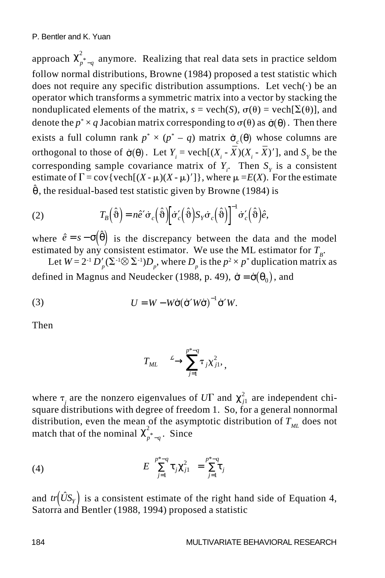approach  $\chi^2_{p^*-q}$  anymore. Realizing that real data sets in practice seldom follow normal distributions, Browne (1984) proposed a test statistic which does not require any specific distribution assumptions. Let  $vech(\cdot)$  be an operator which transforms a symmetric matrix into a vector by stacking the nonduplicated elements of the matrix,  $s = \text{vech}(S)$ ,  $\sigma(\theta) = \text{vech}[\Sigma(\theta)]$ , and denote the  $p^* \times q$  Jacobian matrix corresponding to  $\sigma(\theta)$  as  $\dot{\sigma}(\theta)$ . Then there exists a full column rank  $p^* \times (p^* - q)$  matrix  $\dot{\sigma}_c(\theta)$  whose columns are orthogonal to those of  $\dot{\sigma}(\theta)$ . Let  $Y_i = \text{vech}[(X_i - \overline{X})(X_i - \overline{X})']$ , and  $S_Y$  be the corresponding sample covariance matrix of  $Y_i$ . Then  $S<sub>y</sub>$  is a consistent estimate of  $\Gamma = \text{cov} \{ \text{vech}[(X - \mu)(X - \mu)'] \}$ , where  $\mu = E(X)$ . For the estimate  $\hat{\theta}$ , the residual-based test statistic given by Browne (1984) is

(2) 
$$
T_B(\hat{\theta}) = n\hat{e}' \dot{\sigma}_c(\hat{\theta}) \left[ \dot{\sigma}'_c(\hat{\theta}) S_Y \dot{\sigma}_c(\hat{\theta}) \right]^{-1} \dot{\sigma}'_c(\hat{\theta}) \hat{e},
$$

where  $\hat{e} = s - \sigma(\hat{\theta})$  is the discrepancy between the data and the model estimated by any consistent estimator. We use the ML estimator for  $T_B$ .

Let  $W = 2^{-1} D'_p (\Sigma^{-1} \otimes \Sigma^{-1}) D_p$ , where  $D_p$  is the  $p^2 \times p^*$  duplication matrix as defined in Magnus and Neudecker (1988, p. 49),  $\dot{\sigma} = \dot{\sigma}(\theta_0)$ , and

(3) 
$$
U = W - W\dot{\sigma}(\dot{\sigma}'W\dot{\sigma})^{-1}\dot{\sigma}'W.
$$

Then

$$
T_{ML} \stackrel{\mathcal{L}}{\longrightarrow} \sum_{j=1}^{p^*-q} \tau_j \chi_{j1}^2,
$$

where  $\tau_j$  are the nonzero eigenvalues of  $U\Gamma$  and  $\chi^2_{j1}$  are independent chisquare distributions with degree of freedom 1. So, for a general nonnormal distribution, even the mean of the asymptotic distribution of  $T_M$  does not match that of the nominal  $\chi^2_{p^*-q}$ . Since

(4) 
$$
E\left(\sum_{j=1}^{p^*-q} \tau_j \chi_{j1}^2\right) = \sum_{j=1}^{p^*-q} \tau_j
$$

and  $tr(\hat{U}S_Y)$  is a consistent estimate of the right hand side of Equation 4, Satorra and Bentler (1988, 1994) proposed a statistic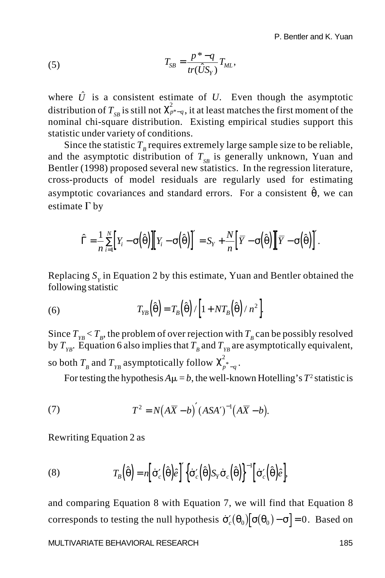(5) 
$$
T_{SB} = \frac{p^* - q}{tr(\hat{U}S_Y)} T_{ML},
$$

where  $\hat{U}$  is a consistent estimate of *U*. Even though the asymptotic distribution of  $T_{SB}$  is still not  $\chi^2_{p^*-q}$ , it at least matches the first moment of the nominal chi-square distribution. Existing empirical studies support this statistic under variety of conditions.

Since the statistic  $T<sub>B</sub>$  requires extremely large sample size to be reliable, and the asymptotic distribution of  $T_{SR}$  is generally unknown, Yuan and Bentler (1998) proposed several new statistics. In the regression literature, cross-products of model residuals are regularly used for estimating asymptotic covariances and standard errors. For a consistent  $\hat{\theta}$ , we can estimate  $\Gamma$  by

$$
\hat{\Gamma} = \frac{1}{n} \sum_{i=1}^{N} \Big[ Y_i - \sigma \Big( \hat{\theta} \Big) \Big] \Big[ Y_i - \sigma \Big( \hat{\theta} \Big) \Big]^{'} = S_Y + \frac{N}{n} \Big[ \overline{Y} - \sigma \Big( \hat{\theta} \Big) \Big] \Big[ \overline{Y} - \sigma \Big( \hat{\theta} \Big) \Big]^{'}.
$$

Replacing  $S<sub>y</sub>$  in Equation 2 by this estimate, Yuan and Bentler obtained the following statistic

(6) 
$$
T_{YB}\left(\hat{\theta}\right) = T_B\left(\hat{\theta}\right) / \left[1 + NT_B\left(\hat{\theta}\right) / n^2\right].
$$

Since  $T_{\text{FB}} < T_B$ , the problem of over rejection with  $T_B$  can be possibly resolved by  $T_{YB}$ . Equation 6 also implies that  $T_B$  and  $T_{YB}$  are asymptotically equivalent, so both  $T_{B}$  and  $T_{YB}$  asymptotically follow  $\chi^2_{p^{*}-q}$ .

For testing the hypothesis  $A\mu = b$ , the well-known Hotelling's  $T^2$  statistic is

(7) 
$$
T^2 = N(A\overline{X} - b)'(ASA')^{-1}(A\overline{X} - b).
$$

Rewriting Equation 2 as

(8) 
$$
T_B(\hat{\theta}) = n \left[ \dot{\sigma}'_c(\hat{\theta}) \hat{\varepsilon} \right]' \left\{ \dot{\sigma}'_c(\hat{\theta}) S_Y \dot{\sigma}_c(\hat{\theta}) \right\}^{-1} \left[ \dot{\sigma}'_c(\hat{\theta}) \hat{\varepsilon} \right],
$$

and comparing Equation 8 with Equation 7, we will find that Equation 8 corresponds to testing the null hypothesis  $\dot{\sigma}'_c(\theta_0)[\sigma(\theta_0) - \sigma] = 0$ . Based on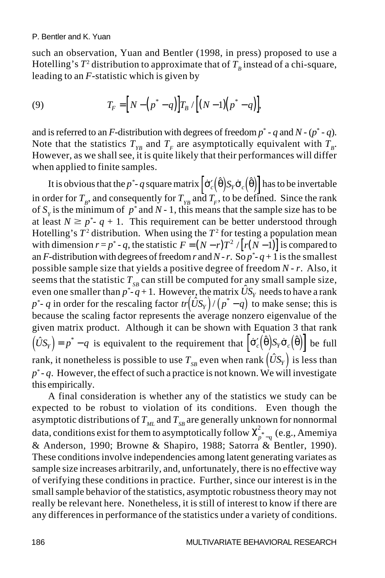such an observation, Yuan and Bentler (1998, in press) proposed to use a Hotelling's  $T^2$  distribution to approximate that of  $T_B$  instead of a chi-square, leading to an *F*-statistic which is given by

(9) 
$$
T_F = [N - (p^* - q)]T_B / [(N - 1)(p^* - q)],
$$

and is referred to an *F*-distribution with degrees of freedom  $p^*$  -  $q$  and  $N$  -  $(p^*$  -  $q$ ). Note that the statistics  $T_{Y_R}$  and  $T_F$  are asymptotically equivalent with  $T_R$ . However, as we shall see, it is quite likely that their performances will differ when applied to finite samples.

It is obvious that the  $p^*$ - $q$  square matrix  $\left[\dot{\sigma}'_c(\hat{\theta})S_r\dot{\sigma}_c(\hat{\theta})\right]$  has to be invertable in order for  $T_B$ , and consequently for  $T_{FB}$  and  $T_F$ , to be defined. Since the rank of  $S<sub>y</sub>$  is the minimum of  $p^*$  and  $N-1$ , this means that the sample size has to be at least  $N \geq p^*$ -  $q + 1$ . This requirement can be better understood through Hotelling's  $T^2$  distribution. When using the  $T^2$  for testing a population mean with dimension  $r = p^* - q$ , the statistic  $F = (N - r)T^2 / [r(N-1)]$  is compared to an *F*-distribution with degrees of freedom *r* and *N* - *r*. So  $p^*$ - $q$  + 1 is the smallest possible sample size that yields a positive degree of freedom *N* - *r*. Also, it seems that the statistic  $T_{SB}$  can still be computed for any small sample size, even one smaller than  $p^*$ - $q+1$ . However, the matrix  $\hat{U}S_Y$  needs to have a rank even one smaller than  $p - q + 1$ . However, the matrix  $\sigma_{\rm S}$  heeds to have a raik  $p^*$ - q in order for the rescaling factor  $tr(\hat{U}S_Y)/(p^* - q)$  to make sense; this is because the scaling factor represents the average nonzero eigenvalue of the given matrix product. Although it can be shown with Equation 3 that rank  $(\hat{U}S_Y) = p^* - q$  is equivalent to the requirement that  $\left[\dot{\sigma}'_c(\hat{\theta})S_Y\dot{\sigma}_c(\hat{\theta})\right]$  be full rank, it nonetheless is possible to use  $T_{SB}$  even when rank  $(\hat{U}S_Y)$  is less than *p*\* - *q*. However, the effect of such a practice is not known. We will investigate this empirically.

A final consideration is whether any of the statistics we study can be expected to be robust to violation of its conditions. Even though the asymptotic distributions of  $T_{ML}$  and  $T_{SB}$  are generally unknown for nonnormal data, conditions exist for them to asymptotically follow  $\chi^2_{p^* - q}$  (e.g., Amemiya & Anderson, 1990; Browne & Shapiro, 1988; Satorra & Bentler, 1990). These conditions involve independencies among latent generating variates as sample size increases arbitrarily, and, unfortunately, there is no effective way of verifying these conditions in practice. Further, since our interest is in the small sample behavior of the statistics, asymptotic robustness theory may not really be relevant here. Nonetheless, it is still of interest to know if there are any differences in performance of the statistics under a variety of conditions.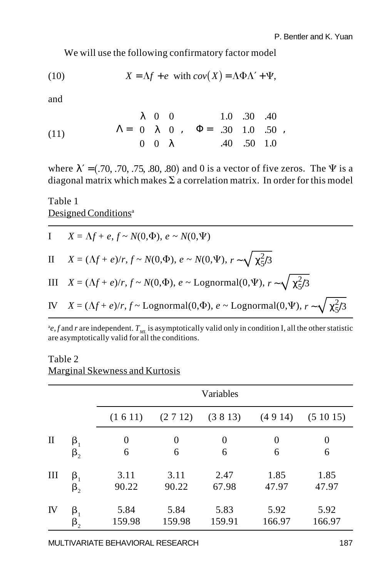We will use the following confirmatory factor model

(10) 
$$
X = \Lambda f + e \text{ with } cov(X) = \Lambda \Phi \Lambda' + \Psi,
$$

and

(11) 
$$
\Lambda = \begin{pmatrix} \lambda & 0 & 0 \\ 0 & \lambda & 0 \\ 0 & 0 & \lambda \end{pmatrix}, \quad \Phi = \begin{pmatrix} 1.0 & .30 & .40 \\ .30 & 1.0 & .50 \\ .40 & .50 & 1.0 \end{pmatrix},
$$

where  $\lambda' = (.70, .70, .75, .80, .80)$  and 0 is a vector of five zeros. The  $\Psi$  is a diagonal matrix which makes  $\Sigma$  a correlation matrix. In order for this model

### Table 1 Designed Conditions<sup>a</sup>

I 
$$
X = \Lambda f + e, f \sim N(0, \Phi), e \sim N(0, \Psi)
$$
  
\nII  $X = (\Lambda f + e)/r, f \sim N(0, \Phi), e \sim N(0, \Psi), r \sim \sqrt{\chi_5^2/3}$   
\nIII  $X = (\Lambda f + e)/r, f \sim N(0, \Phi), e \sim \text{Lognormal}(0, \Psi), r \sim \sqrt{\chi_5^2/3}$   
\nIV  $X = (\Lambda f + e)/r, f \sim \text{Lognormal}(0, \Phi), e \sim \text{Lognormal}(0, \Psi), r \sim \sqrt{\chi_5^2/3}$ 

 $e$ , *f* and *r* are independent.  $T_{ML}$  is asymptotically valid only in condition I, all the other statistic are asymptotically valid for all the conditions.

### Table 2 Marginal Skewness and Kurtosis

|    |                        | Variables        |        |        |        |                  |  |  |
|----|------------------------|------------------|--------|--------|--------|------------------|--|--|
|    |                        | (1 6 11)         | (2712) | (3813) | (4914) | (51015)          |  |  |
| П  | $\beta_{1}$            | $\boldsymbol{0}$ | 0      | 0      | 0      | $\boldsymbol{0}$ |  |  |
|    | $\beta_{2}$            | 6                | 6      | 6      | 6      | 6                |  |  |
| Ш  | $\beta_{1}$            | 3.11             | 3.11   | 2.47   | 1.85   | 1.85             |  |  |
|    | $\boldsymbol{\beta}_2$ | 90.22            | 90.22  | 67.98  | 47.97  | 47.97            |  |  |
| IV | $\beta_{1}$            | 5.84             | 5.84   | 5.83   | 5.92   | 5.92             |  |  |
|    | $\boldsymbol{\beta}_2$ | 159.98           | 159.98 | 159.91 | 166.97 | 166.97           |  |  |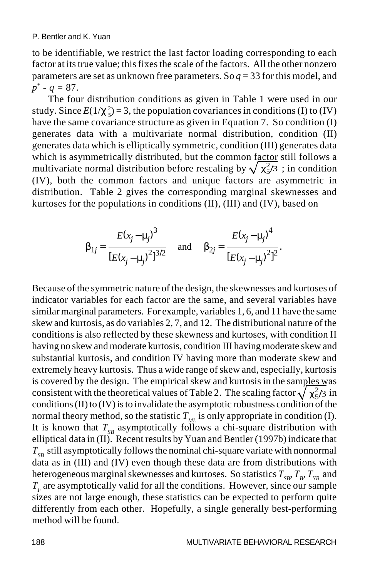to be identifiable, we restrict the last factor loading corresponding to each factor at its true value; this fixes the scale of the factors. All the other nonzero parameters are set as unknown free parameters. So *q* = 33 for this model, and *p*\* - *q* = 87.

The four distribution conditions as given in Table 1 were used in our study. Since  $E(1/\chi_{5}^{2}) = 3$ , the population covariances in conditions (I) to (IV) have the same covariance structure as given in Equation 7. So condition (I) generates data with a multivariate normal distribution, condition (II) generates data which is elliptically symmetric, condition (III) generates data which is asymmetrically distributed, but the common factor still follows a multivariate normal distribution before rescaling by  $\sqrt{\chi^2/3}$ ; in condition (IV), both the common factors and unique factors are asymmetric in distribution. Table 2 gives the corresponding marginal skewnesses and kurtoses for the populations in conditions (II), (III) and (IV), based on

$$
\beta_{1j} = \frac{E(x_j - \mu_j)^3}{[E(x_j - \mu_j)^2]^{3/2}}
$$
 and  $\beta_{2j} = \frac{E(x_j - \mu_j)^4}{[E(x_j - \mu_j)^2]^2}$ .

Because of the symmetric nature of the design, the skewnesses and kurtoses of indicator variables for each factor are the same, and several variables have similar marginal parameters. For example, variables 1, 6, and 11 have the same skew and kurtosis, as do variables 2, 7, and 12. The distributional nature of the conditions is also reflected by these skewness and kurtoses, with condition II having no skew and moderate kurtosis, condition III having moderate skew and substantial kurtosis, and condition IV having more than moderate skew and extremely heavy kurtosis. Thus a wide range of skew and, especially, kurtosis is covered by the design. The empirical skew and kurtosis in the samples was consistent with the theoretical values of Table 2. The scaling factor  $\sqrt{\chi^2/3}$  in conditions (II) to (IV) is to invalidate the asymptotic robustness condition of the normal theory method, so the statistic  $T_M$  is only appropriate in condition (I). It is known that  $T_{SB}$  asymptotically follows a chi-square distribution with elliptical data in (II). Recent results by Yuan and Bentler (1997b) indicate that  $T_{sp}$  still asymptotically follows the nominal chi-square variate with nonnormal data as in (III) and (IV) even though these data are from distributions with heterogeneous marginal skewnesses and kurtoses. So statistics  $T_{SB}$ ,  $T_B$ ,  $T_{YB}$  and  $T<sub>r</sub>$  are asymptotically valid for all the conditions. However, since our sample sizes are not large enough, these statistics can be expected to perform quite differently from each other. Hopefully, a single generally best-performing method will be found.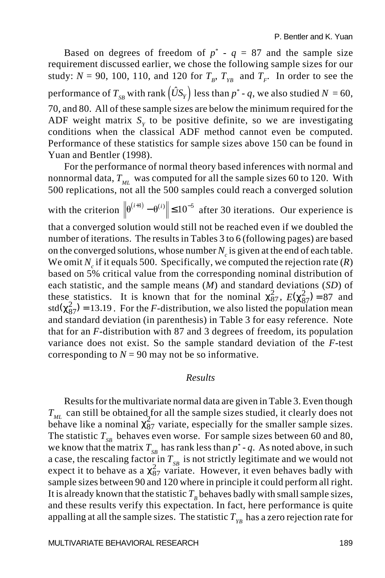Based on degrees of freedom of  $p^* - q = 87$  and the sample size requirement discussed earlier, we chose the following sample sizes for our study:  $N = 90$ , 100, 110, and 120 for  $T_B$ ,  $T_{Y_B}$  and  $T_F$ . In order to see the performance of  $T_{SB}$  with rank  $(\hat{U}S_Y)$  less than  $p^*$  - q, we also studied  $N = 60$ , 70, and 80. All of these sample sizes are below the minimum required for the ADF weight matrix  $S<sub>v</sub>$  to be positive definite, so we are investigating conditions when the classical ADF method cannot even be computed. Performance of these statistics for sample sizes above 150 can be found in Yuan and Bentler (1998).

For the performance of normal theory based inferences with normal and nonnormal data,  $T_{ML}$  was computed for all the sample sizes 60 to 120. With 500 replications, not all the 500 samples could reach a converged solution with the criterion  $\left\| \theta^{(i+1)} - \theta^{(i)} \right\| \le 10^{-5}$  after 30 iterations. Our experience is that a converged solution would still not be reached even if we doubled the number of iterations. The results in Tables 3 to 6 (following pages) are based on the converged solutions, whose number  $N_c$  is given at the end of each table. We omit  $N_c$  if it equals 500. Specifically, we computed the rejection rate  $(R)$ based on 5% critical value from the corresponding nominal distribution of each statistic, and the sample means (*M*) and standard deviations (*SD*) of these statistics. It is known that for the nominal  $\chi^2_{87}$ ,  $E(\chi^2_{87}) = 87$  and  $std(\chi^2_{87}) = 13.19$ . For the *F*-distribution, we also listed the population mean and standard deviation (in parenthesis) in Table 3 for easy reference. Note that for an *F*-distribution with 87 and 3 degrees of freedom, its population variance does not exist. So the sample standard deviation of the *F*-test corresponding to  $N = 90$  may not be so informative.

### *Results*

Results for the multivariate normal data are given in Table 3. Even though  $T_{ML}$  can still be obtained for all the sample sizes studied, it clearly does not  $\epsilon_{ML}$  and such the community  $\frac{2}{87}$  variate, especially for the smaller sample sizes. The statistic  $T_{SR}$  behaves even worse. For sample sizes between 60 and 80, we know that the matrix  $T_{SB}$  has rank less than  $p^*$  -  $q$ . As noted above, in such a case, the rescaling factor in  $T_{SB}$  is not strictly legitimate and we would not expect it to behave as a  $\chi^2_{87}$  variate. However, it even behaves badly with sample sizes between 90 and 120 where in principle it could perform all right. It is already known that the statistic  $T<sub>B</sub>$  behaves badly with small sample sizes, and these results verify this expectation. In fact, here performance is quite appalling at all the sample sizes. The statistic  $T_{yB}$  has a zero rejection rate for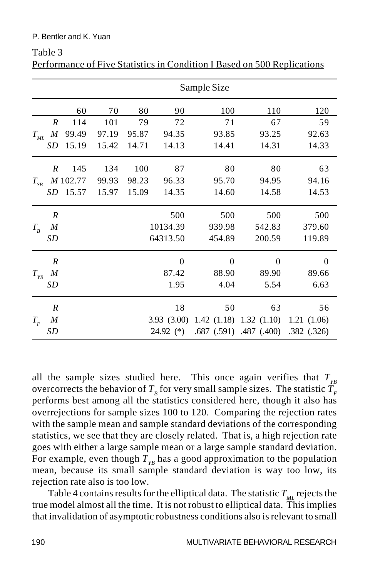#### P. Bentler and K. Yuan

|                |                  | Sample Size |       |       |               |          |                             |             |  |
|----------------|------------------|-------------|-------|-------|---------------|----------|-----------------------------|-------------|--|
|                |                  | 60          | 70    | 80    | 90            | 100      | 110                         | 120         |  |
|                | $\boldsymbol{R}$ | 114         | 101   | 79    | 72            | 71       | 67                          | 59          |  |
| $T_{_{ML}}$    | $\boldsymbol{M}$ | 99.49       | 97.19 | 95.87 | 94.35         | 93.85    | 93.25                       | 92.63       |  |
|                | SD               | 15.19       | 15.42 | 14.71 | 14.13         | 14.41    | 14.31                       | 14.33       |  |
|                | $\boldsymbol{R}$ | 145         | 134   | 100   | 87            | 80       | 80                          | 63          |  |
| $T_{\rm_{SB}}$ |                  | M 102.77    | 99.93 | 98.23 | 96.33         | 95.70    | 94.95                       | 94.16       |  |
|                | SD               | 15.57       | 15.97 | 15.09 | 14.35         | 14.60    | 14.58                       | 14.53       |  |
|                | $\boldsymbol{R}$ |             |       |       | 500           | 500      | 500                         | 500         |  |
| $T_{B}$        | M                |             |       |       | 10134.39      | 939.98   | 542.83                      | 379.60      |  |
|                | SD               |             |       |       | 64313.50      | 454.89   | 200.59                      | 119.89      |  |
|                | $\boldsymbol{R}$ |             |       |       | $\theta$      | $\Omega$ | $\Omega$                    | $\Omega$    |  |
| $T_{YB}$       | M                |             |       |       | 87.42         | 88.90    | 89.90                       | 89.66       |  |
|                | SD               |             |       |       | 1.95          | 4.04     | 5.54                        | 6.63        |  |
|                | $\boldsymbol{R}$ |             |       |       | 18            | 50       | 63                          | 56          |  |
| $T_{F}$        | M                |             |       |       | 3.93(3.00)    |          | $1.42$ (1.18) $1.32$ (1.10) | 1.21(1.06)  |  |
|                | SD               |             |       |       | $24.92$ $(*)$ |          | .687 (.591) .487 (.400)     | .382 (.326) |  |

Table 3 Performance of Five Statistics in Condition I Based on 500 Replications

all the sample sizes studied here. This once again verifies that  $T_{y_B}$ overcorrects the behavior of  $T<sub>B</sub>$  for very small sample sizes. The statistic  $T<sub>F</sub>$ performs best among all the statistics considered here, though it also has overrejections for sample sizes 100 to 120. Comparing the rejection rates with the sample mean and sample standard deviations of the corresponding statistics, we see that they are closely related. That is, a high rejection rate goes with either a large sample mean or a large sample standard deviation. For example, even though  $T_{yB}$  has a good approximation to the population mean, because its small sample standard deviation is way too low, its rejection rate also is too low.

Table 4 contains results for the elliptical data. The statistic  $T_M$  rejects the true model almost all the time. It is not robust to elliptical data. This implies that invalidation of asymptotic robustness conditions also is relevant to small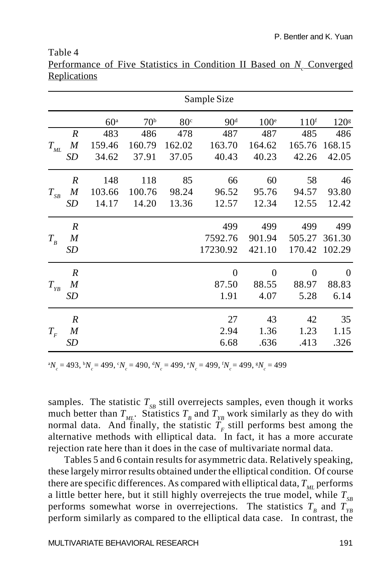#### Table 4

|                             |                  |                 |                 |                 | Sample Size     |                  |                  |                  |
|-----------------------------|------------------|-----------------|-----------------|-----------------|-----------------|------------------|------------------|------------------|
|                             |                  |                 |                 |                 |                 |                  |                  |                  |
|                             |                  | 60 <sup>a</sup> | 70 <sup>b</sup> | 80 <sup>c</sup> | 90 <sup>d</sup> | 100 <sup>e</sup> | 110 <sup>f</sup> | 120 <sup>g</sup> |
|                             | R                | 483             | 486             | 478             | 487             | 487              | 485              | 486              |
| $T_{\scriptscriptstyle ML}$ | $\boldsymbol{M}$ | 159.46          | 160.79          | 162.02          | 163.70          | 164.62           | 165.76           | 168.15           |
|                             | <b>SD</b>        | 34.62           | 37.91           | 37.05           | 40.43           | 40.23            | 42.26            | 42.05            |
|                             | $\boldsymbol{R}$ | 148             | 118             | 85              | 66              | 60               | 58               | 46               |
| $T_{\scriptscriptstyle SB}$ | M                | 103.66          | 100.76          | 98.24           | 96.52           | 95.76            | 94.57            | 93.80            |
|                             | <b>SD</b>        | 14.17           | 14.20           | 13.36           | 12.57           | 12.34            | 12.55            | 12.42            |
|                             | $\boldsymbol{R}$ |                 |                 |                 | 499             | 499              | 499              | 499              |
| $T_{B}$                     | M                |                 |                 |                 | 7592.76         | 901.94           | 505.27           | 361.30           |
|                             | SD               |                 |                 |                 | 17230.92        | 421.10           | 170.42           | 102.29           |
|                             | $\boldsymbol{R}$ |                 |                 |                 | $\Omega$        | $\theta$         | 0                | $\theta$         |
| $T_{\gamma_B}$              | M                |                 |                 |                 | 87.50           | 88.55            | 88.97            | 88.83            |
|                             | SD               |                 |                 |                 | 1.91            | 4.07             | 5.28             | 6.14             |
|                             | $\boldsymbol{R}$ |                 |                 |                 | 27              | 43               | 42               | 35               |
| $T_{\scriptscriptstyle F}$  | M                |                 |                 |                 | 2.94            | 1.36             | 1.23             | 1.15             |
|                             | SD               |                 |                 |                 | 6.68            | .636             | .413             | .326             |

Performance of Five Statistics in Condition II Based on *N<sub>c</sub>* Converged Replications

 ${}^{a}N_c = 493, {}^{b}N_c = 499, {}^{c}N_c = 490, {}^{d}N_c = 499, {}^{e}N_c = 499, {}^{f}N_c = 499, {}^{g}N_c = 499$ 

samples. The statistic  $T_{SB}$  still overrejects samples, even though it works much better than  $T_{ML}$ . Statistics  $T_B$  and  $T_{YB}$  work similarly as they do with normal data. And finally, the statistic  $\overline{T}_r$  still performs best among the alternative methods with elliptical data. In fact, it has a more accurate rejection rate here than it does in the case of multivariate normal data.

Tables 5 and 6 contain results for asymmetric data. Relatively speaking, these largely mirror results obtained under the elliptical condition. Of course there are specific differences. As compared with elliptical data,  $T_{\mu}$  performs a little better here, but it still highly overrejects the true model, while  $T_{SR}$ performs somewhat worse in overrejections. The statistics  $T_B$  and  $T_{Y_B}$ perform similarly as compared to the elliptical data case. In contrast, the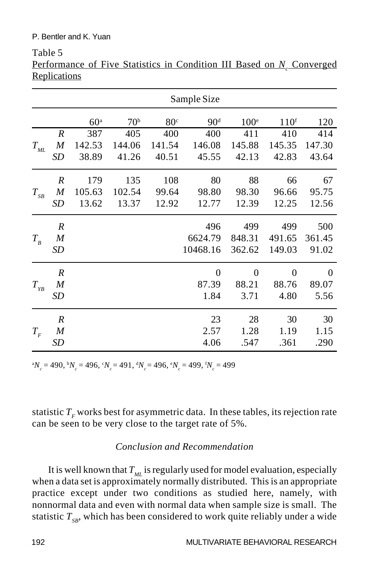### P. Bentler and K. Yuan

|                                 | <u>Replications</u> |                 |                 |                 |                 |                  |                  |          |
|---------------------------------|---------------------|-----------------|-----------------|-----------------|-----------------|------------------|------------------|----------|
|                                 |                     |                 |                 |                 | Sample Size     |                  |                  |          |
|                                 |                     | 60 <sup>a</sup> | 70 <sup>b</sup> | 80 <sup>c</sup> | 90 <sup>d</sup> | 100 <sup>e</sup> | 110 <sup>f</sup> | 120      |
|                                 | $\boldsymbol{R}$    | 387             | 405             | 400             | 400             | 411              | 410              | 414      |
| $T_{\scriptscriptstyle ML}$     | M                   | 142.53          | 144.06          | 141.54          | 146.08          | 145.88           | 145.35           | 147.30   |
|                                 | SD                  | 38.89           | 41.26           | 40.51           | 45.55           | 42.13            | 42.83            | 43.64    |
|                                 | $\boldsymbol{R}$    | 179             | 135             | 108             | 80              | 88               | 66               | 67       |
| $T_{\scriptscriptstyle SB}$     | $\boldsymbol{M}$    | 105.63          | 102.54          | 99.64           | 98.80           | 98.30            | 96.66            | 95.75    |
|                                 | SD                  | 13.62           | 13.37           | 12.92           | 12.77           | 12.39            | 12.25            | 12.56    |
|                                 | $\boldsymbol{R}$    |                 |                 |                 | 496             | 499              | 499              | 500      |
| $T_{B}$                         | M                   |                 |                 |                 | 6624.79         | 848.31           | 491.65           | 361.45   |
|                                 | SD                  |                 |                 |                 | 10468.16        | 362.62           | 149.03           | 91.02    |
|                                 | $\boldsymbol{R}$    |                 |                 |                 | $\overline{0}$  | $\overline{0}$   | $\overline{0}$   | $\theta$ |
| $T_{\rm \scriptscriptstyle YB}$ | M                   |                 |                 |                 | 87.39           | 88.21            | 88.76            | 89.07    |
|                                 | SD                  |                 |                 |                 | 1.84            | 3.71             | 4.80             | 5.56     |
|                                 | $\boldsymbol{R}$    |                 |                 |                 | 23              | 28               | 30               | 30       |
| $T_F^{}$                        | M                   |                 |                 |                 | 2.57            | 1.28             | 1.19             | 1.15     |
|                                 | SD                  |                 |                 |                 | 4.06            | .547             | .361             | .290     |

Table 5 Performance of Five Statistics in Condition III Based on *N<sub>c</sub>* Converged **Replications** 

 ${}^{a}N_c = 490, {}^{b}N_c = 496, {}^{c}N_c = 491, {}^{d}N_c = 496, {}^{e}N_c = 499, {}^{f}N_c = 499$ 

statistic  $T_F$  works best for asymmetric data. In these tables, its rejection rate can be seen to be very close to the target rate of 5%.

### *Conclusion and Recommendation*

It is well known that  $T_{ML}$  is regularly used for model evaluation, especially when a data set is approximately normally distributed. This is an appropriate practice except under two conditions as studied here, namely, with nonnormal data and even with normal data when sample size is small. The statistic  $T_{sp}$ , which has been considered to work quite reliably under a wide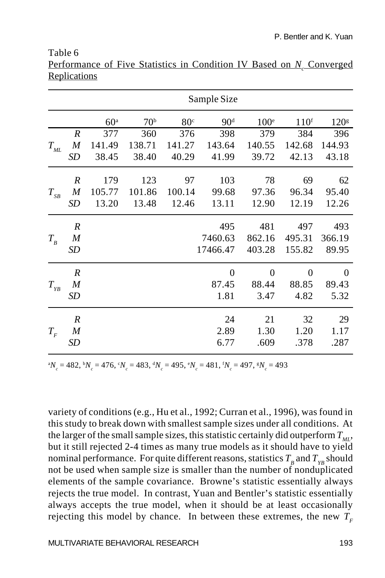#### Table 6

| Performance of Five Statistics in Condition IV Based on N Converged |  |  |  |  |  |
|---------------------------------------------------------------------|--|--|--|--|--|
| Replications                                                        |  |  |  |  |  |

|                                 |                  |                 |                 |                 | Sample Size     |                |                  |                  |
|---------------------------------|------------------|-----------------|-----------------|-----------------|-----------------|----------------|------------------|------------------|
|                                 |                  | 60 <sup>a</sup> | 70 <sup>b</sup> | 80 <sup>c</sup> | 90 <sup>d</sup> | $100^{\circ}$  | 110 <sup>f</sup> | 120 <sup>g</sup> |
|                                 | $\boldsymbol{R}$ | 377             | 360             | 376             | 398             | 379            | 384              | 396              |
| $T_{{\scriptscriptstyle M}\!L}$ | M                | 141.49          | 138.71          | 141.27          | 143.64          | 140.55         | 142.68           | 144.93           |
|                                 | SD               | 38.45           | 38.40           | 40.29           | 41.99           | 39.72          | 42.13            | 43.18            |
|                                 | $\boldsymbol{R}$ | 179             | 123             | 97              | 103             | 78             | 69               | 62               |
| $T_{_{SB}}$                     | M                | 105.77          | 101.86          | 100.14          | 99.68           | 97.36          | 96.34            | 95.40            |
|                                 | SD               | 13.20           | 13.48           | 12.46           | 13.11           | 12.90          | 12.19            | 12.26            |
|                                 | $\boldsymbol{R}$ |                 |                 |                 | 495             | 481            | 497              | 493              |
| $T_{B}$                         | $\boldsymbol{M}$ |                 |                 |                 | 7460.63         | 862.16         | 495.31           | 366.19           |
|                                 | SD               |                 |                 |                 | 17466.47        | 403.28         | 155.82           | 89.95            |
|                                 | $\boldsymbol{R}$ |                 |                 |                 | $\overline{0}$  | $\overline{0}$ | $\overline{0}$   | $\theta$         |
| $T_{\gamma_B}$                  | M                |                 |                 |                 | 87.45           | 88.44          | 88.85            | 89.43            |
|                                 | SD               |                 |                 |                 | 1.81            | 3.47           | 4.82             | 5.32             |
|                                 | $\boldsymbol{R}$ |                 |                 |                 | 24              | 21             | 32               | 29               |
| $T_{\scriptscriptstyle F}$      | M                |                 |                 |                 | 2.89            | 1.30           | 1.20             | 1.17             |
|                                 | SD               |                 |                 |                 | 6.77            | .609           | .378             | .287             |
|                                 |                  |                 |                 |                 |                 |                |                  |                  |

 ${}^{a}N_c = 482, {}^{b}N_c = 476, {}^{c}N_c = 483, {}^{d}N_c = 495, {}^{e}N_c = 481, {}^{f}N_c = 497, {}^{g}N_c = 493$ 

variety of conditions (e.g., Hu et al., 1992; Curran et al., 1996), was found in this study to break down with smallest sample sizes under all conditions. At the larger of the small sample sizes, this statistic certainly did outperform  $T_{\mu\nu}$ , but it still rejected 2-4 times as many true models as it should have to yield nominal performance. For quite different reasons, statistics  $T_B$  and  $T_{YB}$  should not be used when sample size is smaller than the number of nonduplicated elements of the sample covariance. Browne's statistic essentially always rejects the true model. In contrast, Yuan and Bentler's statistic essentially always accepts the true model, when it should be at least occasionally rejecting this model by chance. In between these extremes, the new  $T<sub>F</sub>$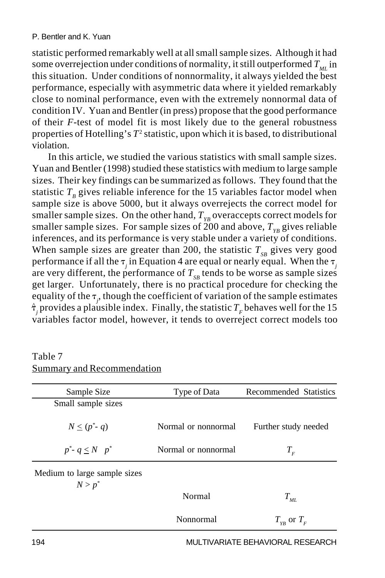statistic performed remarkably well at all small sample sizes. Although it had some overrejection under conditions of normality, it still outperformed  $T_M$  in this situation. Under conditions of nonnormality, it always yielded the best performance, especially with asymmetric data where it yielded remarkably close to nominal performance, even with the extremely nonnormal data of condition IV. Yuan and Bentler (in press) propose that the good performance of their *F*-test of model fit is most likely due to the general robustness properties of Hotelling's T<sup>2</sup> statistic, upon which it is based, to distributional violation.

In this article, we studied the various statistics with small sample sizes. Yuan and Bentler (1998) studied these statistics with medium to large sample sizes. Their key findings can be summarized as follows. They found that the statistic  $T<sub>p</sub>$  gives reliable inference for the 15 variables factor model when sample size is above 5000, but it always overrejects the correct model for smaller sample sizes. On the other hand,  $T_{vR}$  overaccepts correct models for smaller sample sizes. For sample sizes of 200 and above,  $T_{YR}$  gives reliable inferences, and its performance is very stable under a variety of conditions. When sample sizes are greater than 200, the statistic  $T_{SR}$  gives very good performance if all the  $\tau_j$  in Equation 4 are equal or nearly equal. When the  $\tau_j$ are very different, the performance of  $T_{SR}$  tends to be worse as sample sizes get larger. Unfortunately, there is no practical procedure for checking the equality of the  $\tau_{j}$ , though the coefficient of variation of the sample estimates  $\hat{\tau}_j$  provides a plausible index. Finally, the statistic  $T_F$  behaves well for the 15 variables factor model, however, it tends to overreject correct models too

## Table 7 Summary and Recommendation

| Sample Size                               | Type of Data        | Recommended Statistics     |
|-------------------------------------------|---------------------|----------------------------|
| Small sample sizes                        |                     |                            |
| $N \le (p^* - q)$                         | Normal or nonnormal | Further study needed       |
| $p^*$ - $q \leq N$ $p^*$                  | Normal or nonnormal | $T_{\scriptscriptstyle F}$ |
| Medium to large sample sizes<br>$N > p^*$ |                     |                            |
|                                           | Normal              | $T_{_{\scriptstyle ML}}$   |
|                                           | Nonnormal           | $T_{vB}$ or $T_{F}$        |

194 MULTIVARIATE BEHAVIORAL RESEARCH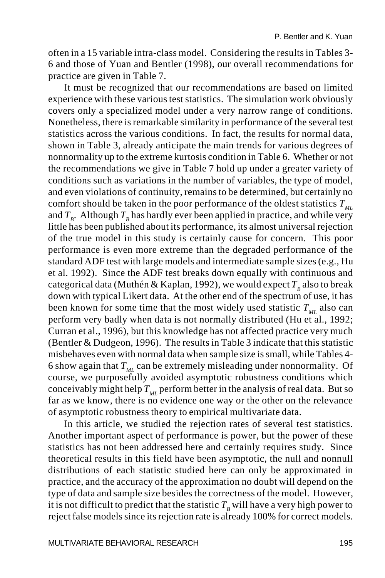often in a 15 variable intra-class model. Considering the results in Tables 3- 6 and those of Yuan and Bentler (1998), our overall recommendations for practice are given in Table 7.

It must be recognized that our recommendations are based on limited experience with these various test statistics. The simulation work obviously covers only a specialized model under a very narrow range of conditions. Nonetheless, there is remarkable similarity in performance of the several test statistics across the various conditions. In fact, the results for normal data, shown in Table 3, already anticipate the main trends for various degrees of nonnormality up to the extreme kurtosis condition in Table 6. Whether or not the recommendations we give in Table 7 hold up under a greater variety of conditions such as variations in the number of variables, the type of model, and even violations of continuity, remains to be determined, but certainly no comfort should be taken in the poor performance of the oldest statistics  $T_M$ and  $T<sub>B</sub>$ . Although  $T<sub>B</sub>$  has hardly ever been applied in practice, and while very little has been published about its performance, its almost universal rejection of the true model in this study is certainly cause for concern. This poor performance is even more extreme than the degraded performance of the standard ADF test with large models and intermediate sample sizes (e.g., Hu et al. 1992). Since the ADF test breaks down equally with continuous and categorical data (Muthén & Kaplan, 1992), we would expect  $T<sub>p</sub>$  also to break down with typical Likert data. At the other end of the spectrum of use, it has been known for some time that the most widely used statistic  $T_M$  also can perform very badly when data is not normally distributed (Hu et al., 1992; Curran et al., 1996), but this knowledge has not affected practice very much (Bentler & Dudgeon, 1996). The results in Table 3 indicate that this statistic misbehaves even with normal data when sample size is small, while Tables 4- 6 show again that  $T_M$  can be extremely misleading under nonnormality. Of course, we purposefully avoided asymptotic robustness conditions which conceivably might help  $T_M$  perform better in the analysis of real data. But so far as we know, there is no evidence one way or the other on the relevance of asymptotic robustness theory to empirical multivariate data.

In this article, we studied the rejection rates of several test statistics. Another important aspect of performance is power, but the power of these statistics has not been addressed here and certainly requires study. Since theoretical results in this field have been asymptotic, the null and nonnull distributions of each statistic studied here can only be approximated in practice, and the accuracy of the approximation no doubt will depend on the type of data and sample size besides the correctness of the model. However, it is not difficult to predict that the statistic  $T<sub>B</sub>$  will have a very high power to reject false models since its rejection rate is already 100% for correct models.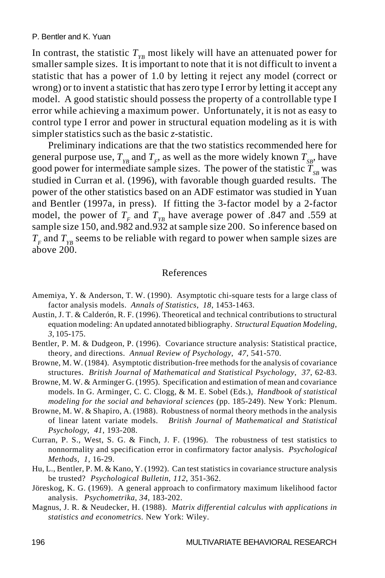In contrast, the statistic  $T_{y_B}$  most likely will have an attenuated power for smaller sample sizes. It is important to note that it is not difficult to invent a statistic that has a power of 1.0 by letting it reject any model (correct or wrong) or to invent a statistic that has zero type I error by letting it accept any model. A good statistic should possess the property of a controllable type I error while achieving a maximum power. Unfortunately, it is not as easy to control type I error and power in structural equation modeling as it is with simpler statistics such as the basic *z*-statistic.

Preliminary indications are that the two statistics recommended here for general purpose use,  $T_{yB}$  and  $T_{F}$ , as well as the more widely known  $T_{\text{S}B}$ , have good power for intermediate sample sizes. The power of the statistic  $T_{SP}$  was studied in Curran et al. (1996), with favorable though guarded results. The power of the other statistics based on an ADF estimator was studied in Yuan and Bentler (1997a, in press). If fitting the 3-factor model by a 2-factor model, the power of  $T_F$  and  $T_{VR}$  have average power of .847 and .559 at sample size 150, and.982 and.932 at sample size 200. So inference based on  $T_F$  and  $T_{YB}$  seems to be reliable with regard to power when sample sizes are above 200.

### References

- Amemiya, Y. & Anderson, T. W. (1990). Asymptotic chi-square tests for a large class of factor analysis models. *Annals of Statistics*, *18*, 1453-1463.
- Austin, J. T. & Calderón, R. F. (1996). Theoretical and technical contributions to structural equation modeling: An updated annotated bibliography. *Structural Equation Modeling*, *3*, 105-175.
- Bentler, P. M. & Dudgeon, P. (1996). Covariance structure analysis: Statistical practice, theory, and directions. *Annual Review of Psychology*, *47*, 541-570.
- Browne, M. W. (1984). Asymptotic distribution-free methods for the analysis of covariance structures. *British Journal of Mathematical and Statistical Psychology*, *37*, 62-83.
- Browne, M. W. & Arminger G. (1995). Specification and estimation of mean and covariance models. In G. Arminger, C. C. Clogg, & M. E. Sobel (Eds.), *Handbook of statistical modeling for the social and behavioral sciences* (pp. 185-249). New York: Plenum.
- Browne, M. W. & Shapiro, A. (1988). Robustness of normal theory methods in the analysis of linear latent variate models. *British Journal of Mathematical and Statistical Psychology*, *41*, 193-208.
- Curran, P. S., West, S. G. & Finch, J. F. (1996). The robustness of test statistics to nonnormality and specification error in confirmatory factor analysis. *Psychological Methods*, *1*, 16-29.
- Hu, L., Bentler, P. M. & Kano, Y. (1992). Can test statistics in covariance structure analysis be trusted? *Psychological Bulletin*, *112*, 351-362.
- Jöreskog, K. G. (1969). A general approach to confirmatory maximum likelihood factor analysis. *Psychometrika*, *34*, 183-202.
- Magnus, J. R. & Neudecker, H. (1988). *Matrix differential calculus with applications in statistics and econometrics*. New York: Wiley.